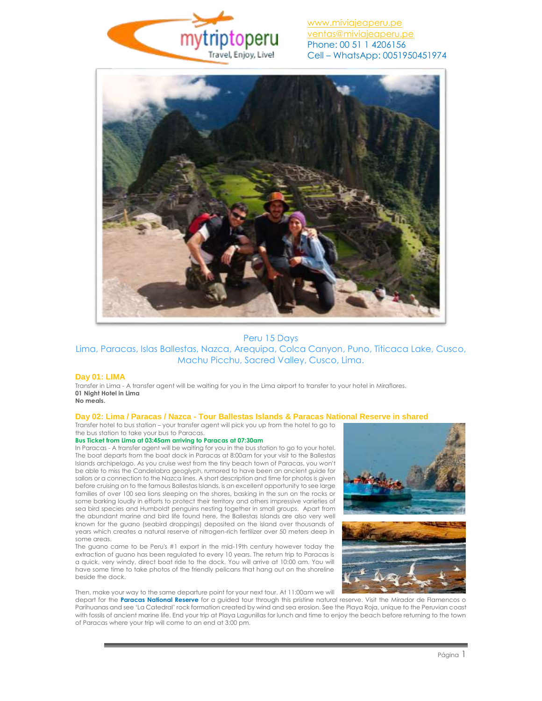

# [www.miviajeaperu.pe](http://www.miviajeaperu.pe/) [ventas@miviajeaperu.pe](mailto:ventas@miviajeaperu.pe) Phone: 00 51 1 4206156 Cell – WhatsApp: 0051950451974



# Peru 15 Days Lima, Paracas, Islas Ballestas, Nazca, Arequipa, Colca Canyon, Puno, Titicaca Lake, Cusco, Machu Picchu, Sacred Valley, Cusco, Lima.

## **Day 01: LIMA**

Transfer in Lima - A transfer agent will be waiting for you in the Lima airport to transfer to your hotel in Miraflores. **01 Night Hotel in Lima No meals.**

# **Day 02: Lima / Paracas / Nazca - Tour Ballestas Islands & Paracas National Reserve in shared**

Transfer hotel to bus station – your transfer agent will pick you up from the hotel to go to the bus station to take your bus to Paracas.

### **Bus Ticket from Lima at 03:45am arriving to Paracas at 07:30am**

In Paracas - A transfer agent will be waiting for you in the bus station to go to your hotel. The boat departs from the boat dock in Paracas at 8:00am for your visit to the Ballestas Islands archipelago. As you cruise west from the tiny beach town of Paracas, you won't be able to miss the Candelabra geoglyph, rumored to have been an ancient guide for sailors or a connection to the Nazca lines. A short description and time for photos is given before cruising on to the famous Ballestas Islands, is an excellent opportunity to see large families of over 100 sea lions sleeping on the shores, basking in the sun on the rocks or some barking loudly in efforts to protect their territory and others impressive varieties of sea bird species and Humboldt penguins nesting together in small groups. Apart from the abundant marine and bird life found here, the Ballestas Islands are also very well known for the guano (seabird droppings) deposited on the island over thousands of years which creates a natural reserve of nitrogen-rich fertilizer over 50 meters deep in some areas.

The guano came to be Peru's #1 export in the mid-19th century however today the extraction of guano has been regulated to every 10 years. The return trip to Paracas is a quick, very windy, direct boat ride to the dock. You will arrive at 10:00 am. You will have some time to take photos of the friendly pelicans that hang out on the shoreline beside the dock.

Then, make your way to the same departure point for your next tour. At 11:00am we will





depart for the **Paracas National Reserve** for a guided tour through this pristine natural reserve. Visit the Mirador de Flamencos o Parihuanas and see 'La Catedral' rock formation created by wind and sea erosion. See the Playa Roja, unique to the Peruvian coast with fossils of ancient marine life. End your trip at Playa Lagunillas for lunch and time to enjoy the beach before returning to the town of Paracas where your trip will come to an end at 3:00 pm.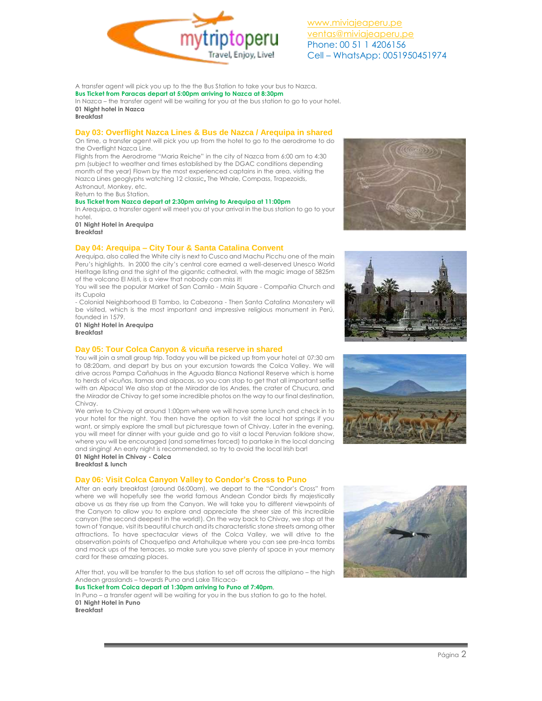

A transfer agent will pick you up to the the Bus Station to take your bus to Nazca. **Bus Ticket from Paracas depart at 5:00pm arriving to Nazca at 8:30pm** In Nazca – the transfer agent will be waiting for you at the bus station to go to your hotel. **01 Night hotel in Nazca Breakfast**

### **Day 03: Overflight Nazca Lines & Bus de Nazca / Arequipa in shared**

On time, a transfer agent will pick you up from the hotel to go to the aerodrome to do the Overflight Nazca Line.

Flights from the Aerodrome "Maria Reiche" in the city of Nazca from 6:00 am to 4:30 pm (subject to weather and times established by the DGAC conditions depending month of the year) Flown by the most experienced captains in the area, visiting the Nazca Lines geoglyphs watching 12 classic, The Whale, Compass, Trapezoids, Astronaut, Monkey, etc.

Return to the Bus Station.

### **Bus Ticket from Nazca depart at 2:30pm arriving to Arequipa at 11:00pm**

In Arequipa, a transfer agent will meet you at your arrival in the bus station to go to your hotel.

**01 Night Hotel in Arequipa Breakfast**

## **Day 04: Arequipa – City Tour & Santa Catalina Convent**

Arequipa, also called the White city is next to Cusco and Machu Picchu one of the main Peru's highlights. In 2000 the city's central core earned a well-deserved Unesco World Heritage listing and the sight of the gigantic cathedral, with the magic image of 5825m of the volcano El Misti, is a view that nobody can miss it!

You will see the popular Market of San Camilo - Main Square - Compañia Church and its Cupola

- Colonial Neighborhood El Tambo, la Cabezona - Then Santa Catalina Monastery will be visited, which is the most important and impressive religious monument in Perú, founded in 1579.

**01 Night Hotel in Arequipa Breakfast**

### **Day 05: Tour Colca Canyon & vicuña reserve in shared**

You will join a small group trip. Today you will be picked up from your hotel at 07:30 am to 08:20am, and depart by bus on your excursion towards the Colca Valley. We will drive across Pampa Cañahuas in the Aguada Blanca National Reserve which is home to herds of vicuñas, llamas and alpacas, so you can stop to get that all important selfie with an Alpaca! We also stop at the Mirador de los Andes, the crater of Chucura, and the Mirador de Chivay to get some incredible photos on the way to our final destination, Chivay.

We arrive to Chivay at around 1:00pm where we will have some lunch and check in to your hotel for the night. You then have the option to visit the local hot springs if you want, or simply explore the small but picturesque town of Chivay. Later in the evening, you will meet for dinner with your guide and go to visit a local Peruvian folklore show, where you will be encouraged (and sometimes forced) to partake in the local dancing and singing! An early night is recommended, so try to avoid the local Irish bar!

**01 Night Hotel in Chivay - Colca Breakfast & lunch** 

## **Day 06: Visit Colca Canyon Valley to Condor's Cross to Puno**

After an early breakfast (around 06:00am), we depart to the "Condor's Cross" from where we will hopefully see the world famous Andean Condor birds fly majestically above us as they rise up from the Canyon. We will take you to different viewpoints of the Canyon to allow you to explore and appreciate the sheer size of this incredible canyon (the second deepest in the world!). On the way back to Chivay, we stop at the town of Yanque, visit its beautiful church and its characteristic stone streets among other attractions. To have spectacular views of the Colca Valley, we will drive to the observation points of Choquetipo and Artahuilque where you can see pre-Inca tombs and mock ups of the terraces, so make sure you save plenty of space in your memory card for these amazing places.

After that, you will be transfer to the bus station to set off across the altiplano – the high Andean grasslands – towards Puno and Lake Titicaca-**Bus Ticket from Colca depart at 1:30pm arriving to Puno at 7:40pm**,

In Puno – a transfer agent will be waiting for you in the bus station to go to the hotel. **01 Night Hotel in Puno**









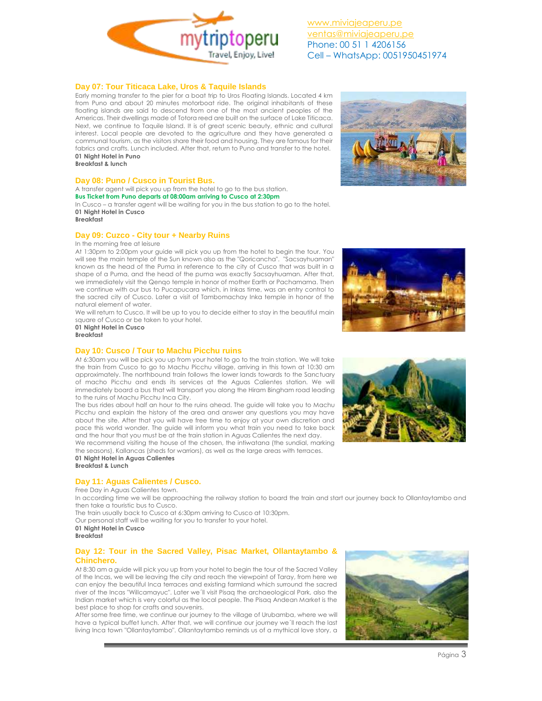

[www.miviajeaperu.pe](http://www.miviajeaperu.pe/) [ventas@miviajeaperu.pe](mailto:ventas@miviajeaperu.pe) Phone: 00 51 1 4206156 Cell – WhatsApp: 0051950451974

## **Day 07: Tour Titicaca Lake, Uros & Taquile Islands**

Early morning transfer to the pier for a boat trip to Uros Floating Islands. Located 4 km from Puno and about 20 minutes motorboat ride. The original inhabitants of these floating islands are said to descend from one of the most ancient peoples of the Americas. Their dwellings made of Totora reed are built on the surface of Lake Titicaca. Next, we continue to Taquile Island. It is of great scenic beauty, ethnic and cultural interest. Local people are devoted to the agriculture and they have generated a communal tourism, as the visitors share their food and housing. They are famous for their fabrics and crafts. Lunch included. After that, return to Puno and transfer to the hotel. **01 Night Hotel in Puno**

**Breakfast & lunch**

### **Day 08: Puno / Cusco in Tourist Bus.**

A transfer agent will pick you up from the hotel to go to the bus station. **Bus Ticket from Puno departs at 08:00am arriving to Cusco at 2:30pm**

In Cusco – a transfer agent will be waiting for you in the bus station to go to the hotel. **01 Night Hotel in Cusco**

**Breakfast**

## **Day 09: Cuzco - City tour + Nearby Ruins**

### In the morning free at leisure

At 1:30pm to 2:00pm your guide will pick you up from the hotel to begin the tour. You will see the main temple of the Sun known also as the "Qoricancha". "Sacsayhuaman" known as the head of the Puma in reference to the city of Cusco that was built in a shape of a Puma, and the head of the puma was exactly Sacsayhuaman. After that, we immediately visit the Qenqo temple in honor of mother Earth or Pachamama. Then we continue with our bus to Pucapucara which, in Inkas time, was an entry control to the sacred city of Cusco. Later a visit of Tambomachay Inka temple in honor of the natural element of water.

We will return to Cusco. It will be up to you to decide either to stay in the beautiful main square of Cusco or be taken to your hotel.

**01 Night Hotel in Cusco Breakfast**

### **Day 10: Cusco / Tour to Machu Picchu ruins**

At 6:30am you will be pick you up from your hotel to go to the train station. We will take the train from Cusco to go to Machu Picchu village, arriving in this town at 10:30 am approximately. The northbound train follows the lower lands towards to the Sanctuary of macho Picchu and ends its services at the Aguas Calientes station. We will immediately board a bus that will transport you along the Hiram Bingham road leading to the ruins of Machu Picchu Inca City.

The bus rides about half an hour to the ruins ahead. The guide will take you to Machu Picchu and explain the history of the area and answer any questions you may have about the site. After that you will have free time to enjoy at your own discretion and pace this world wonder. The guide will inform you what train you need to take back and the hour that you must be at the train station in Aguas Calientes the next day.

We recommend visiting the house of the chosen, the intiwatana (the sundial, marking the seasons), Kallancas (sheds for warriors), as well as the large areas with terraces. **01 Night Hotel in Aguas Calientes**

**Breakfast & Lunch**

# **Day 11: Aguas Calientes / Cusco.**

Free Day in Aguas Calientes town.

In according time we will be approaching the railway station to board the train and start our journey back to Ollantaytambo and then take a touristic bus to Cusco.

The train usually back to Cusco at 6:30pm arriving to Cusco at 10:30pm.

Our personal staff will be waiting for you to transfer to your hotel.

**01 Night Hotel in Cusco Breakfast**

## **Day 12: Tour in the Sacred Valley, Pisac Market, Ollantaytambo & Chinchero.**

At 8:30 am a guide will pick you up from your hotel to begin the tour of the Sacred Valley of the Incas, we will be leaving the city and reach the viewpoint of Taray, from here we can enjoy the beautiful Inca terraces and existing farmland which surround the sacred river of the Incas "Willcamayuc". Later we´ll visit Pisaq the archaeological Park, also the Indian market which is very colorful as the local people. The Pisaq Andean Market is the best place to shop for crafts and souvenirs.

After some free time, we continue our journey to the village of Urubamba, where we will have a typical buffet lunch. After that, we will continue our journey we´ll reach the last living Inca town "Ollantaytambo". Ollantaytambo reminds us of a mythical love story, a







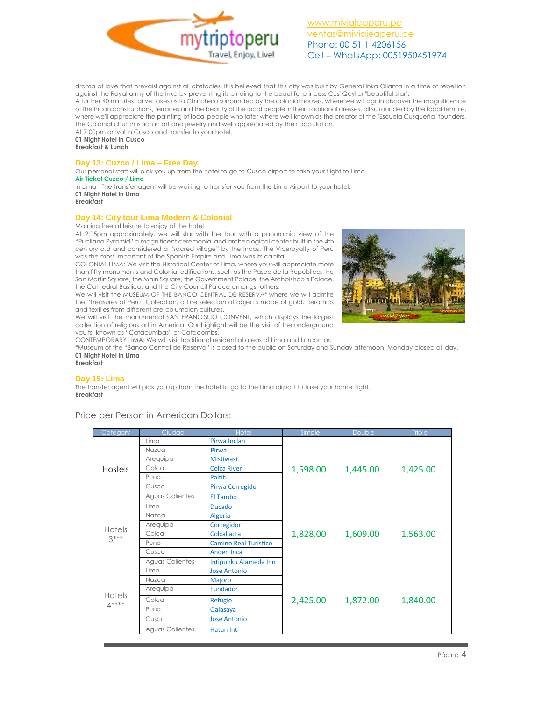

drama of love that prevaisl against all obstacles. It is believed that this city was built by General Inka Ollanta in a time of rebellion against the Royal army of the Inka by preventing its binding to the beautiful princess Cusi Qoyllor "beautiful star". A further 40 minutes' drive takes us to Chinchero surrounded by the colonial houses, where we will again discover the magnificence of the Incan constructions, terraces and the beauty of the local people in their traditional dresses, all surrounded by the local temple, where we'll appreciate the painting of local people who later where well-known as the creator of the "Escuela Cusqueña" founders. The Colonial church is rich in art and jewelry and well appreciated by their population.

At 7:00pm arrival in Cusco and transfer to your hotel. **01 Night Hotel in Cusco**

**Breakfast & Lunch**

### **Day 13: Cuzco / Lima – Free Day.**

Our personal staff will pick you up from the hotel to go to Cusco airport to take your flight to Lima. **Air Ticket Cuzco / Lima**

In Lima - The transfer agent will be waiting to transfer you from the Lima Airport to your hotel. **01 Night Hotel in Lima**

### **Breakfast**

## **Day 14: City tour Lima Modern & Colonial**

Morning free at leisure to enjoy of the hotel.

At 2:15pm approximately, we will star with the tour with a panoramic view of the "Pucllana Pyramid" a magnificent ceremonial and archeological center built in the 4th century a.d and considered a "sacred village" by the Incas. The Viceroyalty of Perú was the most important of the Spanish Empire and Lima was its capital.

COLONIAL LIMA: We visit the Historical Center of Lima, where you will appreciate more than fifty monuments and Colonial edifications, such as the Paseo de la República, the San Martín Square, the Main Square, the Government Palace, the Archbishop's Palace, the Cathedral Basilica, and the City Council Palace amongst others.

We will visit the MUSEUM OF THE BANCO CENTRAL DE RESERVA\*,where we will admire the "Treasures of Perú" Collection, a fine selection of objects made of gold, ceramics and textiles from different pre-columbian cultures. We will visit the monumental SAN FRANCISCO CONVENT, which displays the largest



collection of religious art in America. Our highlight will be the visit of the underground vaults, known as "Catacumbas" or Catacombs. CONTEMPORARY LIMA: We will visit traditional residential areas of Lima and Larcomar.

\*Museum of the "Banco Central de Reserva" is closed to the public on Saturday and Sunday afternoon. Monday closed all day. **01 Night Hotel in Lima**

# **Breakfast**

## **Day 15: Lima**

The transfer agent will pick you up from the hotel to go to the Lima airport to take your home flight. **Breakfast**

Price per Person in American Dollars:

| Category         | Ciudad                 | Hotel                        | Simple   | <b>Double</b> | <b>Triple</b> |
|------------------|------------------------|------------------------------|----------|---------------|---------------|
| <b>Hostels</b>   | Lima                   | Pirwa Inclan                 | 1,598.00 | 1,445.00      | 1,425.00      |
|                  | Nazca                  | Pirwa                        |          |               |               |
|                  | Arequipa               | <b>Mistiwasi</b>             |          |               |               |
|                  | Colca                  | <b>Colca River</b>           |          |               |               |
|                  | Puno                   | Paititi                      |          |               |               |
|                  | Cusco                  | Pirwa Corregidor             |          |               |               |
|                  | <b>Aguas Calientes</b> | El Tambo                     |          |               |               |
|                  | Lima                   | <b>Ducado</b>                | 1,828.00 | 1,609.00      | 1,563.00      |
| Hotels<br>$3***$ | Nazca                  | Algeria                      |          |               |               |
|                  | Arequipa               | Corregidor                   |          |               |               |
|                  | Colca                  | Colcallacta                  |          |               |               |
|                  | Puno                   | <b>Camino Real Turistico</b> |          |               |               |
|                  | Cusco                  | Anden Inca                   |          |               |               |
|                  | <b>Aguas Calientes</b> | Intipunku Alameda Inn        |          |               |               |
| Hotels<br>$4***$ | Lima                   | <b>José Antonio</b>          | 2,425.00 | 1,872.00      | 1,840.00      |
|                  | Nazca                  | Majoro                       |          |               |               |
|                  | Arequipa               | Fundador                     |          |               |               |
|                  | Colca                  | Refugio                      |          |               |               |
|                  | Puno                   | Qalasaya                     |          |               |               |
|                  | Cusco                  | <b>José Antonio</b>          |          |               |               |
|                  | <b>Aguas Calientes</b> | Hatun Inti                   |          |               |               |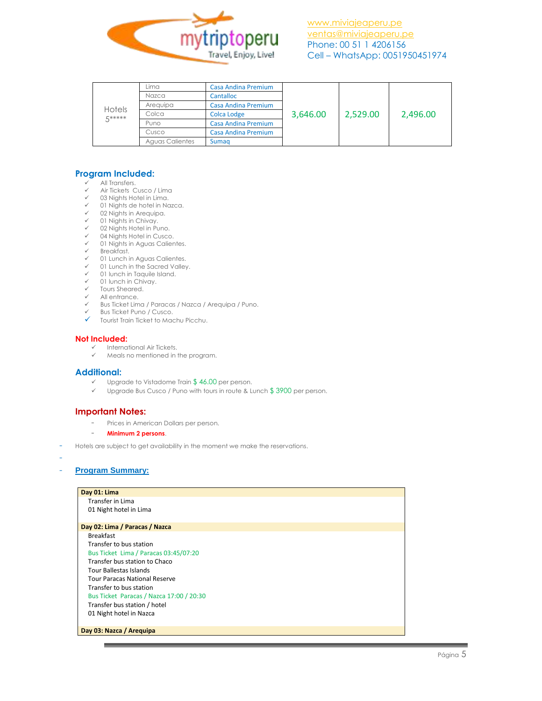

| Hotels<br><b><i>E*****</i></b> | Lima            | <b>Casa Andina Premium</b> | 3,646.00 | 2,529.00 | 2,496.00 |
|--------------------------------|-----------------|----------------------------|----------|----------|----------|
|                                | Nazca           | Cantalloc                  |          |          |          |
|                                | Arequipa        | <b>Casa Andina Premium</b> |          |          |          |
|                                | Colca           | Colca Lodge                |          |          |          |
|                                | Puno            | Casa Andina Premium        |          |          |          |
|                                | Cusco           | Casa Andina Premium        |          |          |          |
|                                | Aguas Calientes | Sumag                      |          |          |          |

# **Program Included:**

- All Transfers.
- Air Tickets Cusco / Lima
- 03 Nights Hotel in Lima.
- 01 Nights de hotel in Nazca.
- 02 Nights in Arequipa.
- $\checkmark$  01 Nights in Chivay.
- $\times$  02 Nights Hotel in Puno.
- $\checkmark$  04 Nights Hotel in Cusco.<br> $\checkmark$  01 Nights in Aquas Calier 01 Nights in Aguas Calientes.
- $\checkmark$  Breakfast.
- 
- $\checkmark$  01 Lunch in Aguas Calientes.<br> $\checkmark$  01 Lunch in the Sacred Valley
- $\checkmark$  01 Lunch in the Sacred Valley.<br> $\checkmark$  01 lunch in Taquile Island 01 lunch in Taquile Island.
- $\checkmark$  01 lunch in Chivay.
- $\checkmark$  Tours Sheared.
- All entrance.
- Bus Ticket Lima / Paracas / Nazca / Arequipa / Puno.
- $\checkmark$  Bus Ticket Puno / Cusco.<br> $\checkmark$  Tourist Train Ticket to May
- Tourist Train Ticket to Machu Picchu.

### **Not Included:**

- $\checkmark$  International Air Tickets.<br> $\checkmark$  Meals no mentioned in t
	- Meals no mentioned in the program.

## **Additional:**

- $\checkmark$  Upgrade to Vistadome Train \$46.00 per person.
- $\checkmark$  Upgrade Bus Cusco / Puno with tours in route & Lunch \$3900 per person.

## **Important Notes:**

- Prices in American Dollars per person.
- **Minimum 2 persons**.
- Hotels are subject to get availability in the moment we make the reservations.
- -

# - **Program Summary:**

| Day 01: Lima                             |  |
|------------------------------------------|--|
| Transfer in Lima                         |  |
| 01 Night hotel in Lima                   |  |
|                                          |  |
| Day 02: Lima / Paracas / Nazca           |  |
| <b>Breakfast</b>                         |  |
| Transfer to bus station                  |  |
| Bus Ticket Lima / Paracas 03:45/07:20    |  |
| Transfer bus station to Chaco            |  |
| <b>Tour Ballestas Islands</b>            |  |
| <b>Tour Paracas National Reserve</b>     |  |
| Transfer to bus station                  |  |
| Bus Ticket Paracas / Nazca 17:00 / 20:30 |  |
| Transfer bus station / hotel             |  |
| 01 Night hotel in Nazca                  |  |
|                                          |  |
| Day 03: Nazca / Arequipa                 |  |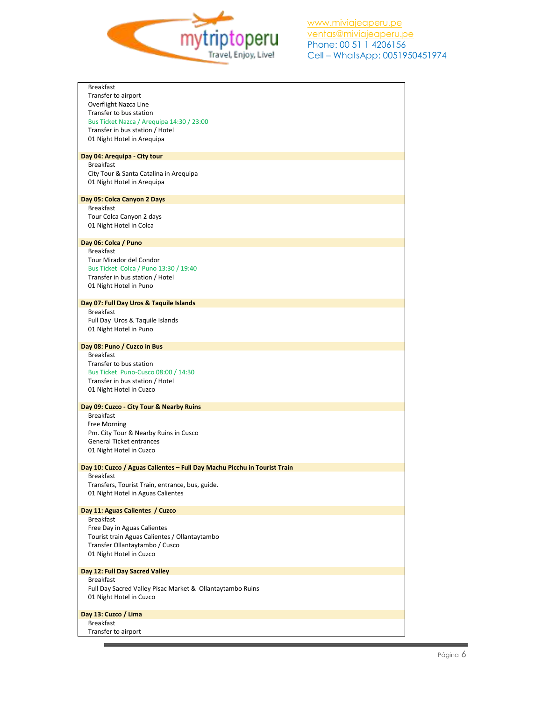

| <b>Breakfast</b>                                                         |
|--------------------------------------------------------------------------|
| Transfer to airport                                                      |
| Overflight Nazca Line                                                    |
| Transfer to bus station                                                  |
| Bus Ticket Nazca / Arequipa 14:30 / 23:00                                |
| Transfer in bus station / Hotel                                          |
| 01 Night Hotel in Arequipa                                               |
|                                                                          |
| Day 04: Arequipa - City tour                                             |
| <b>Breakfast</b>                                                         |
| City Tour & Santa Catalina in Arequipa                                   |
| 01 Night Hotel in Arequipa                                               |
|                                                                          |
| Day 05: Colca Canyon 2 Days                                              |
| <b>Breakfast</b>                                                         |
| Tour Colca Canyon 2 days                                                 |
| 01 Night Hotel in Colca                                                  |
|                                                                          |
| Day 06: Colca / Puno                                                     |
| <b>Breakfast</b>                                                         |
| Tour Mirador del Condor                                                  |
|                                                                          |
| Bus Ticket Colca / Puno 13:30 / 19:40<br>Transfer in bus station / Hotel |
|                                                                          |
| 01 Night Hotel in Puno                                                   |
|                                                                          |
| Day 07: Full Day Uros & Taquile Islands                                  |
| <b>Breakfast</b>                                                         |
| Full Day Uros & Taquile Islands                                          |
| 01 Night Hotel in Puno                                                   |
|                                                                          |
| Day 08: Puno / Cuzco in Bus                                              |
| <b>Breakfast</b>                                                         |
| Transfer to bus station                                                  |
| Bus Ticket Puno-Cusco 08:00 / 14:30                                      |
| Transfer in bus station / Hotel                                          |
| 01 Night Hotel in Cuzco                                                  |
|                                                                          |
| Day 09: Cuzco - City Tour & Nearby Ruins                                 |
| <b>Breakfast</b>                                                         |
| Free Morning                                                             |
| Pm. City Tour & Nearby Ruins in Cusco                                    |
| <b>General Ticket entrances</b>                                          |
| 01 Night Hotel in Cuzco                                                  |
|                                                                          |
| Day 10: Cuzco / Aguas Calientes - Full Day Machu Picchu in Tourist Train |
| Breakfast                                                                |
| Transfers, Tourist Train, entrance, bus, guide.                          |
| 01 Night Hotel in Aguas Calientes                                        |
|                                                                          |
| Day 11: Aguas Calientes / Cuzco                                          |
| <b>Breakfast</b>                                                         |
| Free Day in Aguas Calientes                                              |
| Tourist train Aguas Calientes / Ollantaytambo                            |
| Transfer Ollantaytambo / Cusco                                           |
| 01 Night Hotel in Cuzco                                                  |
|                                                                          |
| Day 12: Full Day Sacred Valley                                           |
| <b>Breakfast</b>                                                         |
| Full Day Sacred Valley Pisac Market & Ollantaytambo Ruins                |
| 01 Night Hotel in Cuzco                                                  |
|                                                                          |
| Day 13: Cuzco / Lima                                                     |
| <b>Breakfast</b>                                                         |
| Transfer to airport                                                      |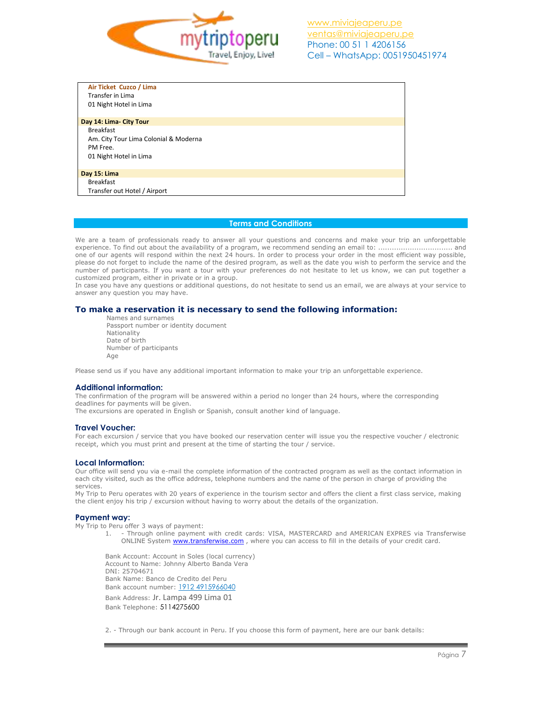

| Air Ticket Cuzco / Lima               |
|---------------------------------------|
| Transfer in Lima                      |
| 01 Night Hotel in Lima                |
|                                       |
| Day 14: Lima- City Tour               |
| <b>Breakfast</b>                      |
| Am. City Tour Lima Colonial & Moderna |
| PM Free.                              |
| 01 Night Hotel in Lima                |
|                                       |
| Day 15: Lima                          |
| <b>Breakfast</b>                      |
| Transfer out Hotel / Airport          |

# **Terms and Conditions**

We are a team of professionals ready to answer all your questions and concerns and make your trip an unforgettable experience. To find out about the availability of a program, we recommend sending an email to: ................................. and one of our agents will respond within the next 24 hours. In order to process your order in the most efficient way possible, please do not forget to include the name of the desired program, as well as the date you wish to perform the service and the number of participants. If you want a tour with your preferences do not hesitate to let us know, we can put together a customized program, either in private or in a group.

In case you have any questions or additional questions, do not hesitate to send us an email, we are always at your service to answer any question you may have.

## **To make a reservation it is necessary to send the following information:**

Names and surnames Passport number or identity document Nationality Date of birth Number of participants Age

Please send us if you have any additional important information to make your trip an unforgettable experience.

### **Additional information:**

The confirmation of the program will be answered within a period no longer than 24 hours, where the corresponding deadlines for payments will be given.

The excursions are operated in English or Spanish, consult another kind of language.

#### **Travel Voucher:**

For each excursion / service that you have booked our reservation center will issue you the respective voucher / electronic receipt, which you must print and present at the time of starting the tour / service.

### **Local Information:**

Our office will send you via e-mail the complete information of the contracted program as well as the contact information in each city visited, such as the office address, telephone numbers and the name of the person in charge of providing the services.

My Trip to Peru operates with 20 years of experience in the tourism sector and offers the client a first class service, making the client enjoy his trip / excursion without having to worry about the details of the organization.

### **Payment way:**

My Trip to Peru offer 3 ways of payment:

1. - Through online payment with credit cards: VISA, MASTERCARD and AMERICAN EXPRES via Transferwise ONLINE System **www.transferwise.com**, where you can access to fill in the details of your credit card.

Bank Account: Account in Soles (local currency) Account to Name: Johnny Alberto Banda Vera DNI: 25704671 Bank Name: Banco de Credito del Peru Bank account number: 1912 4915966040 Bank Address: Jr. Lampa 499 Lima 01 Bank Telephone: 5114275600

2. - Through our bank account in Peru. If you choose this form of payment, here are our bank details: